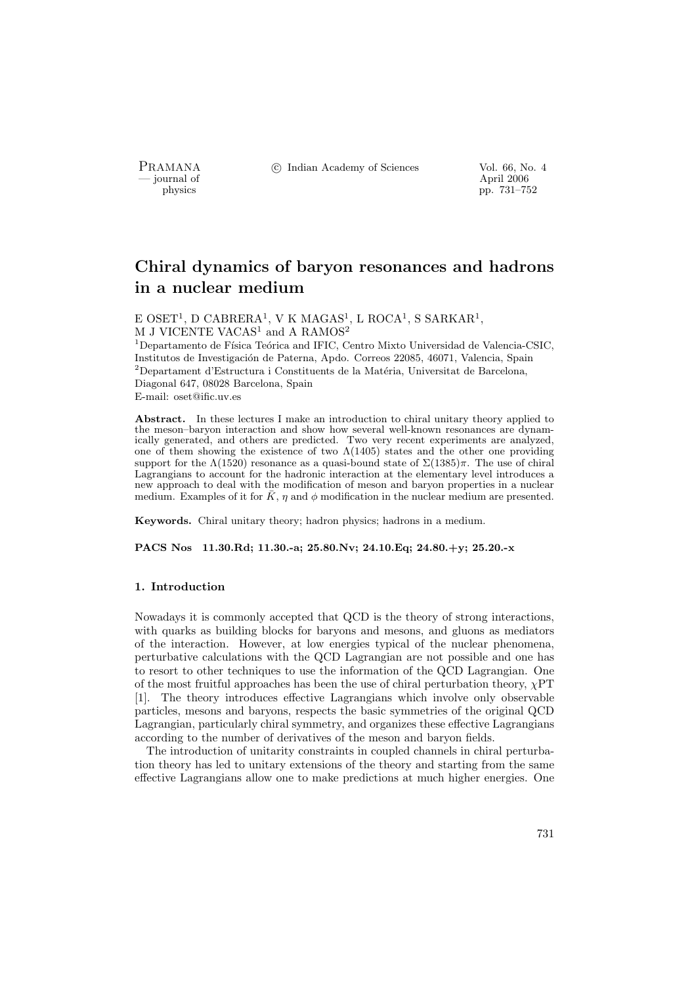- journal of<br>physics

PRAMANA <sup>C</sup> Indian Academy of Sciences Vol. 66, No. 4<br>
iournal of April 2006

pp. 731–752

# Chiral dynamics of baryon resonances and hadrons in a nuclear medium

E OSET<sup>1</sup>, D CABRERA<sup>1</sup>, V K MAGAS<sup>1</sup>, L ROCA<sup>1</sup>, S SARKAR<sup>1</sup>, M J VICENTE VACAS<sup>1</sup> and A RAMOS<sup>2</sup>

 $1$ Departamento de Física Teórica and IFIC, Centro Mixto Universidad de Valencia-CSIC, Institutos de Investigación de Paterna, Apdo. Correos 22085, 46071, Valencia, Spain  $2$ Departament d'Estructura i Constituents de la Matéria, Universitat de Barcelona, Diagonal 647, 08028 Barcelona, Spain E-mail: oset@ific.uv.es

Abstract. In these lectures I make an introduction to chiral unitary theory applied to the meson–baryon interaction and show how several well-known resonances are dynamically generated, and others are predicted. Two very recent experiments are analyzed, one of them showing the existence of two  $\Lambda(1405)$  states and the other one providing support for the  $\Lambda(1520)$  resonance as a quasi-bound state of  $\Sigma(1385)\pi$ . The use of chiral Lagrangians to account for the hadronic interaction at the elementary level introduces a new approach to deal with the modification of meson and baryon properties in a nuclear medium. Examples of it for  $\bar{K}$ ,  $\eta$  and  $\phi$  modification in the nuclear medium are presented.

Keywords. Chiral unitary theory; hadron physics; hadrons in a medium.

PACS Nos 11.30.Rd; 11.30.-a; 25.80.Nv; 24.10.Eq; 24.80.+y; 25.20.-x

#### 1. Introduction

Nowadays it is commonly accepted that QCD is the theory of strong interactions, with quarks as building blocks for baryons and mesons, and gluons as mediators of the interaction. However, at low energies typical of the nuclear phenomena, perturbative calculations with the QCD Lagrangian are not possible and one has to resort to other techniques to use the information of the QCD Lagrangian. One of the most fruitful approaches has been the use of chiral perturbation theory,  $\chi PT$ [1]. The theory introduces effective Lagrangians which involve only observable particles, mesons and baryons, respects the basic symmetries of the original QCD Lagrangian, particularly chiral symmetry, and organizes these effective Lagrangians according to the number of derivatives of the meson and baryon fields.

The introduction of unitarity constraints in coupled channels in chiral perturbation theory has led to unitary extensions of the theory and starting from the same effective Lagrangians allow one to make predictions at much higher energies. One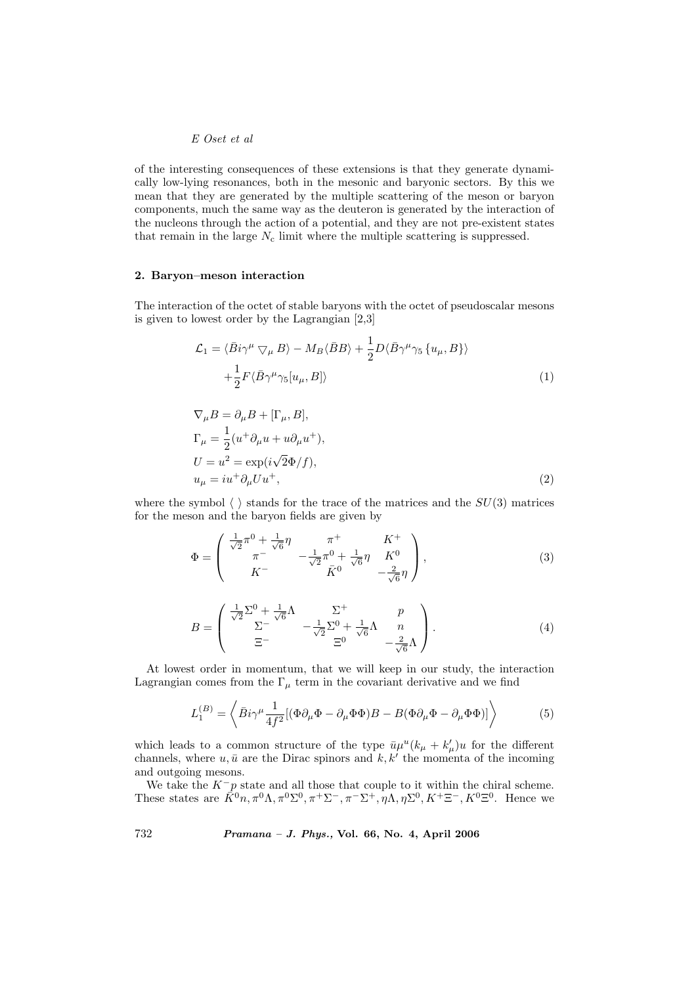of the interesting consequences of these extensions is that they generate dynamically low-lying resonances, both in the mesonic and baryonic sectors. By this we mean that they are generated by the multiple scattering of the meson or baryon components, much the same way as the deuteron is generated by the interaction of the nucleons through the action of a potential, and they are not pre-existent states that remain in the large  $N_c$  limit where the multiple scattering is suppressed.

# 2. Baryon–meson interaction

The interaction of the octet of stable baryons with the octet of pseudoscalar mesons is given to lowest order by the Lagrangian [2,3]

$$
\mathcal{L}_1 = \langle \bar{B}i\gamma^{\mu} \nabla_{\mu} B \rangle - M_B \langle \bar{B}B \rangle + \frac{1}{2} D \langle \bar{B} \gamma^{\mu} \gamma_5 \{ u_{\mu}, B \} \rangle + \frac{1}{2} F \langle \bar{B} \gamma^{\mu} \gamma_5 [u_{\mu}, B] \rangle
$$
\n(1)

$$
\nabla_{\mu}B = \partial_{\mu}B + [\Gamma_{\mu}, B],
$$
  
\n
$$
\Gamma_{\mu} = \frac{1}{2}(u^{+}\partial_{\mu}u + u\partial_{\mu}u^{+}),
$$
  
\n
$$
U = u^{2} = \exp(i\sqrt{2}\Phi/f),
$$
  
\n
$$
u_{\mu} = iu^{+}\partial_{\mu}Uu^{+},
$$
\n(2)

where the symbol  $\langle \ \rangle$  stands for the trace of the matrices and the  $SU(3)$  matrices for the meson and the baryon fields are given by

$$
\Phi = \begin{pmatrix} \frac{1}{\sqrt{2}} \pi^0 + \frac{1}{\sqrt{6}} \eta & \pi^+ & K^+ \\ \pi^- & -\frac{1}{\sqrt{2}} \pi^0 + \frac{1}{\sqrt{6}} \eta & K^0 \\ K^- & \bar{K}^0 & -\frac{2}{\sqrt{6}} \eta \end{pmatrix},
$$
(3)

$$
B = \begin{pmatrix} \frac{1}{\sqrt{2}} \Sigma^0 + \frac{1}{\sqrt{6}} \Lambda & \Sigma^+ & p \\ \Sigma^- & -\frac{1}{\sqrt{2}} \Sigma^0 + \frac{1}{\sqrt{6}} \Lambda & n \\ \Xi^- & \Xi^0 & -\frac{2}{\sqrt{6}} \Lambda \end{pmatrix} .
$$
 (4)

At lowest order in momentum, that we will keep in our study, the interaction Lagrangian comes from the  $\Gamma_{\mu}$  term in the covariant derivative and we find

$$
L_1^{(B)} = \left\langle \bar{B}i\gamma^{\mu}\frac{1}{4f^2}[(\Phi\partial_{\mu}\Phi - \partial_{\mu}\Phi\Phi)B - B(\Phi\partial_{\mu}\Phi - \partial_{\mu}\Phi\Phi)] \right\rangle
$$
 (5)

which leads to a common structure of the type  $\bar{u}\mu^u(k_\mu + k'_\mu)u$  for the different channels, where  $u, \bar{u}$  are the Dirac spinors and  $k, k'$  the momenta of the incoming and outgoing mesons.

We take the  $K^-p$  state and all those that couple to it within the chiral scheme. These states are  $\bar{K}^0 n, \pi^0 \Lambda, \pi^0 \Sigma^0, \pi^+ \Sigma^-, \pi^- \Sigma^+, \eta \Lambda, \eta \Sigma^0, K^+ \Xi^-, K^0 \Xi^0$ . Hence we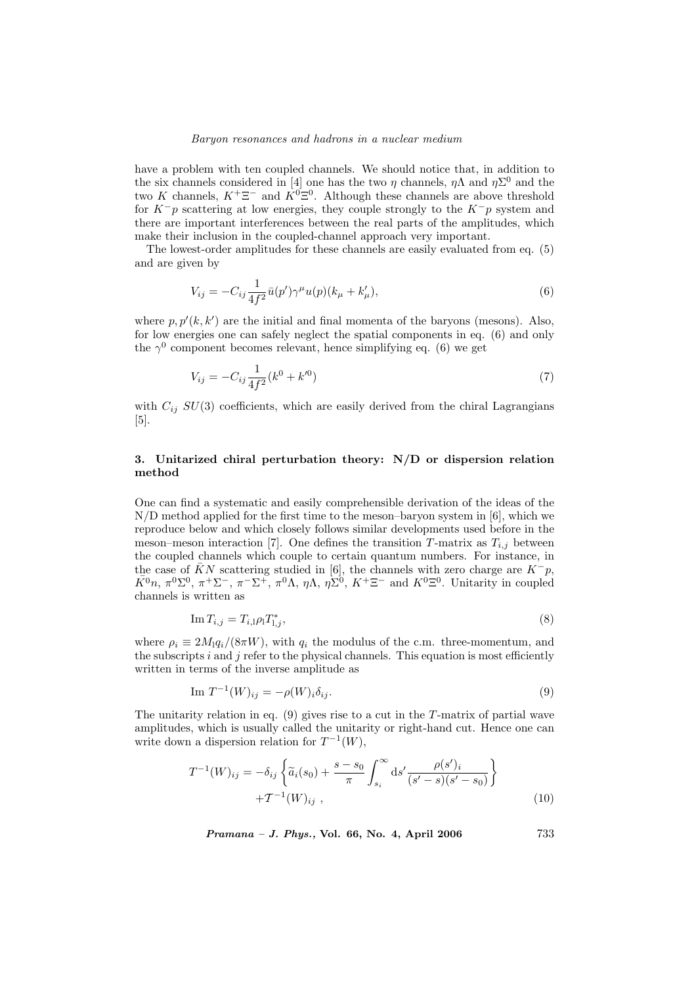have a problem with ten coupled channels. We should notice that, in addition to the six channels considered in [4] one has the two  $\eta$  channels,  $\eta\Lambda$  and  $\eta\Sigma^0$  and the two K channels,  $K^+\Xi^-$  and  $K^0\Xi^0$ . Although these channels are above threshold for  $K^-p$  scattering at low energies, they couple strongly to the  $K^-p$  system and there are important interferences between the real parts of the amplitudes, which make their inclusion in the coupled-channel approach very important.

The lowest-order amplitudes for these channels are easily evaluated from eq. (5) and are given by

$$
V_{ij} = -C_{ij} \frac{1}{4f^2} \bar{u}(p') \gamma^{\mu} u(p) (k_{\mu} + k'_{\mu}), \qquad (6)
$$

where  $p, p'(k, k')$  are the initial and final momenta of the baryons (mesons). Also, for low energies one can safely neglect the spatial components in eq. (6) and only the  $\gamma^0$  component becomes relevant, hence simplifying eq. (6) we get

$$
V_{ij} = -C_{ij} \frac{1}{4f^2} (k^0 + k^{\prime 0})
$$
\n(7)

with  $C_{ij}$  SU(3) coefficients, which are easily derived from the chiral Lagrangians [5].

## 3. Unitarized chiral perturbation theory: N/D or dispersion relation method

One can find a systematic and easily comprehensible derivation of the ideas of the N/D method applied for the first time to the meson–baryon system in [6], which we reproduce below and which closely follows similar developments used before in the meson–meson interaction [7]. One defines the transition T-matrix as  $T_{i,j}$  between the coupled channels which couple to certain quantum numbers. For instance, in the case of  $\bar{K}N$  scattering studied in [6], the channels with zero charge are  $K^-p$ ,  $\overline{K}^{0}n$ ,  $\pi^{0}\Sigma^{0}$ ,  $\pi^{+}\Sigma^{-}$ ,  $\pi^{-}\Sigma^{+}$ ,  $\pi^{0}\Lambda$ ,  $\eta\Lambda$ ,  $\eta\Sigma^{0}$ ,  $K^{+}\Xi^{-}$  and  $K^{0}\Xi^{0}$ . Unitarity in coupled channels is written as

$$
\operatorname{Im} T_{i,j} = T_{i,l} \rho_l T_{l,j}^*,\tag{8}
$$

where  $\rho_i \equiv 2M_1q_i/(8\pi W)$ , with  $q_i$  the modulus of the c.m. three-momentum, and the subscripts i and j refer to the physical channels. This equation is most efficiently written in terms of the inverse amplitude as

$$
\operatorname{Im} T^{-1}(W)_{ij} = -\rho(W)_i \delta_{ij}.
$$
\n
$$
(9)
$$

The unitarity relation in eq.  $(9)$  gives rise to a cut in the T-matrix of partial wave amplitudes, which is usually called the unitarity or right-hand cut. Hence one can write down a dispersion relation for  $T^{-1}(W)$ ,

$$
T^{-1}(W)_{ij} = -\delta_{ij} \left\{ \tilde{a}_i(s_0) + \frac{s - s_0}{\pi} \int_{s_i}^{\infty} ds' \frac{\rho(s')_i}{(s' - s)(s' - s_0)} \right\} + T^{-1}(W)_{ij} , \qquad (10)
$$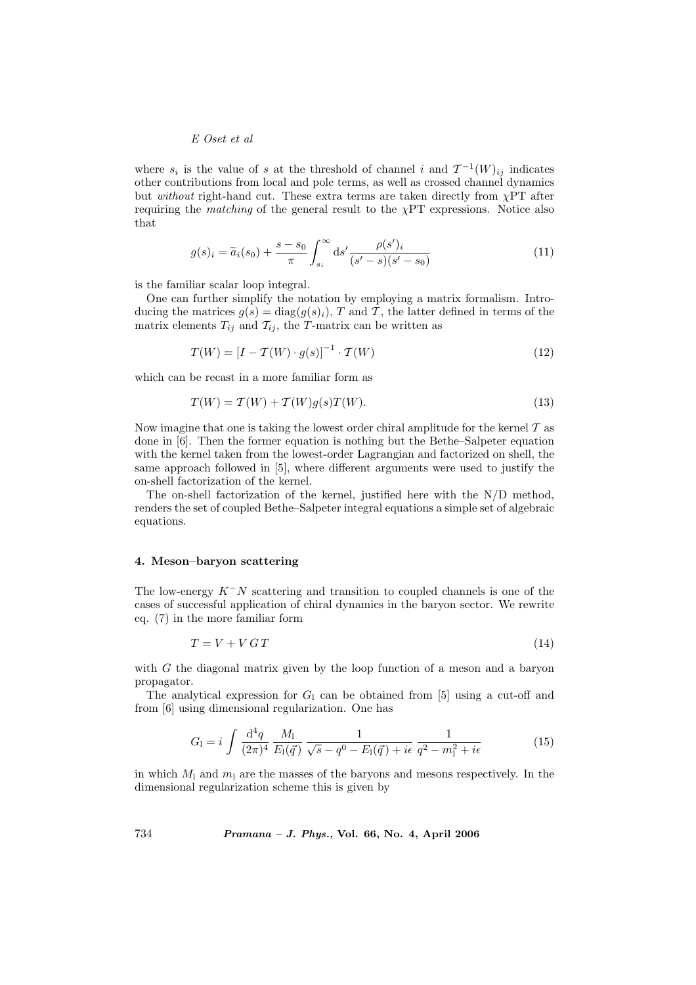where  $s_i$  is the value of s at the threshold of channel i and  $\mathcal{T}^{-1}(W)_{ij}$  indicates other contributions from local and pole terms, as well as crossed channel dynamics but without right-hand cut. These extra terms are taken directly from  $\chi PT$  after requiring the *matching* of the general result to the  $\chi$ PT expressions. Notice also that

$$
g(s)_i = \tilde{a}_i(s_0) + \frac{s - s_0}{\pi} \int_{s_i}^{\infty} ds' \frac{\rho(s')_i}{(s' - s)(s' - s_0)}
$$
(11)

is the familiar scalar loop integral.

One can further simplify the notation by employing a matrix formalism. Introducing the matrices  $g(s) = \text{diag}(g(s)_i)$ , T and T, the latter defined in terms of the matrix elements  $T_{ij}$  and  $T_{ij}$ , the T-matrix can be written as

$$
T(W) = \left[I - T(W) \cdot g(s)\right]^{-1} \cdot T(W) \tag{12}
$$

which can be recast in a more familiar form as

$$
T(W) = T(W) + T(W)g(s)T(W).
$$
\n(13)

Now imagine that one is taking the lowest order chiral amplitude for the kernel  $T$  as done in [6]. Then the former equation is nothing but the Bethe–Salpeter equation with the kernel taken from the lowest-order Lagrangian and factorized on shell, the same approach followed in [5], where different arguments were used to justify the on-shell factorization of the kernel.

The on-shell factorization of the kernel, justified here with the N/D method, renders the set of coupled Bethe–Salpeter integral equations a simple set of algebraic equations.

#### 4. Meson–baryon scattering

The low-energy  $K^-N$  scattering and transition to coupled channels is one of the cases of successful application of chiral dynamics in the baryon sector. We rewrite eq. (7) in the more familiar form

$$
T = V + V \, G \, T \tag{14}
$$

with G the diagonal matrix given by the loop function of a meson and a baryon propagator.

The analytical expression for  $G<sub>l</sub>$  can be obtained from [5] using a cut-off and from [6] using dimensional regularization. One has

$$
G_1 = i \int \frac{d^4q}{(2\pi)^4} \frac{M_1}{E_1(\vec{q})} \frac{1}{\sqrt{s} - q^0 - E_1(\vec{q}) + i\epsilon} \frac{1}{q^2 - m_1^2 + i\epsilon}
$$
(15)

in which  $M_1$  and  $m_1$  are the masses of the baryons and mesons respectively. In the dimensional regularization scheme this is given by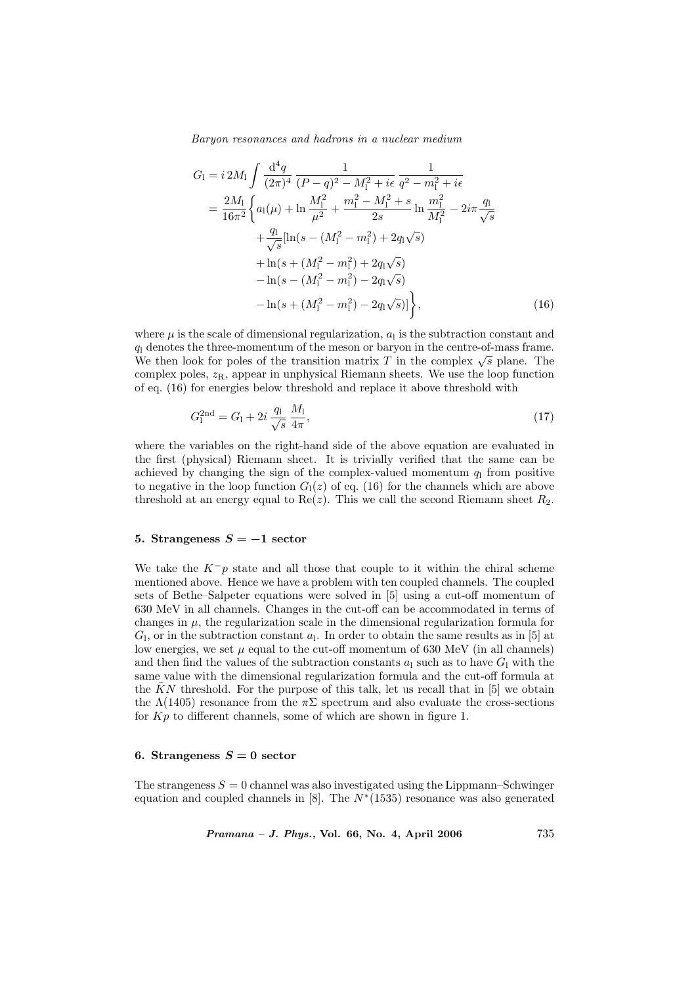$$
G_{1} = i 2M_{1} \int \frac{d^{4}q}{(2\pi)^{4}} \frac{1}{(P-q)^{2} - M_{1}^{2} + i\epsilon} \frac{1}{q^{2} - m_{1}^{2} + i\epsilon}
$$
  
\n
$$
= \frac{2M_{1}}{16\pi^{2}} \Biggl\{ a_{1}(\mu) + \ln \frac{M_{1}^{2}}{\mu^{2}} + \frac{m_{1}^{2} - M_{1}^{2} + s}{2s} \ln \frac{m_{1}^{2}}{M_{1}^{2}} - 2i\pi \frac{q_{1}}{\sqrt{s}}
$$
  
\n
$$
+ \frac{q_{1}}{\sqrt{s}} [\ln(s - (M_{1}^{2} - m_{1}^{2}) + 2q_{1}\sqrt{s})
$$
  
\n
$$
+ \ln(s + (M_{1}^{2} - m_{1}^{2}) + 2q_{1}\sqrt{s})
$$
  
\n
$$
- \ln(s - (M_{1}^{2} - m_{1}^{2}) - 2q_{1}\sqrt{s})
$$
  
\n
$$
- \ln(s + (M_{1}^{2} - m_{1}^{2}) - 2q_{1}\sqrt{s}) \Biggr\},
$$
\n(16)

where  $\mu$  is the scale of dimensional regularization,  $a<sub>l</sub>$  is the subtraction constant and  $q_1$  denotes the three-momentum of the meson or baryon in the centre-of-mass frame.  $q_1$  denotes the three-momentum of the meson or paryon in the centre-of-mass frame.<br>We then look for poles of the transition matrix T in the complex  $\sqrt{s}$  plane. The complex poles,  $z_R$ , appear in unphysical Riemann sheets. We use the loop function of eq. (16) for energies below threshold and replace it above threshold with

$$
G_1^{2nd} = G_1 + 2i \frac{q_1}{\sqrt{s}} \frac{M_1}{4\pi},\tag{17}
$$

where the variables on the right-hand side of the above equation are evaluated in the first (physical) Riemann sheet. It is trivially verified that the same can be achieved by changing the sign of the complex-valued momentum  $q_1$  from positive to negative in the loop function  $G<sub>1</sub>(z)$  of eq. (16) for the channels which are above threshold at an energy equal to  $\text{Re}(z)$ . This we call the second Riemann sheet  $R_2$ .

#### 5. Strangeness  $S = -1$  sector

We take the  $K^-p$  state and all those that couple to it within the chiral scheme mentioned above. Hence we have a problem with ten coupled channels. The coupled sets of Bethe–Salpeter equations were solved in [5] using a cut-off momentum of 630 MeV in all channels. Changes in the cut-off can be accommodated in terms of changes in  $\mu$ , the regularization scale in the dimensional regularization formula for  $G_l$ , or in the subtraction constant  $a_l$ . In order to obtain the same results as in [5] at low energies, we set  $\mu$  equal to the cut-off momentum of 630 MeV (in all channels) and then find the values of the subtraction constants  $a_1$  such as to have  $G_1$  with the same value with the dimensional regularization formula and the cut-off formula at the  $\bar{K}N$  threshold. For the purpose of this talk, let us recall that in [5] we obtain the  $\Lambda(1405)$  resonance from the  $\pi\Sigma$  spectrum and also evaluate the cross-sections for  $Kp$  to different channels, some of which are shown in figure 1.

#### 6. Strangeness  $S = 0$  sector

The strangeness  $S = 0$  channel was also investigated using the Lippmann–Schwinger equation and coupled channels in [8]. The  $N^*(1535)$  resonance was also generated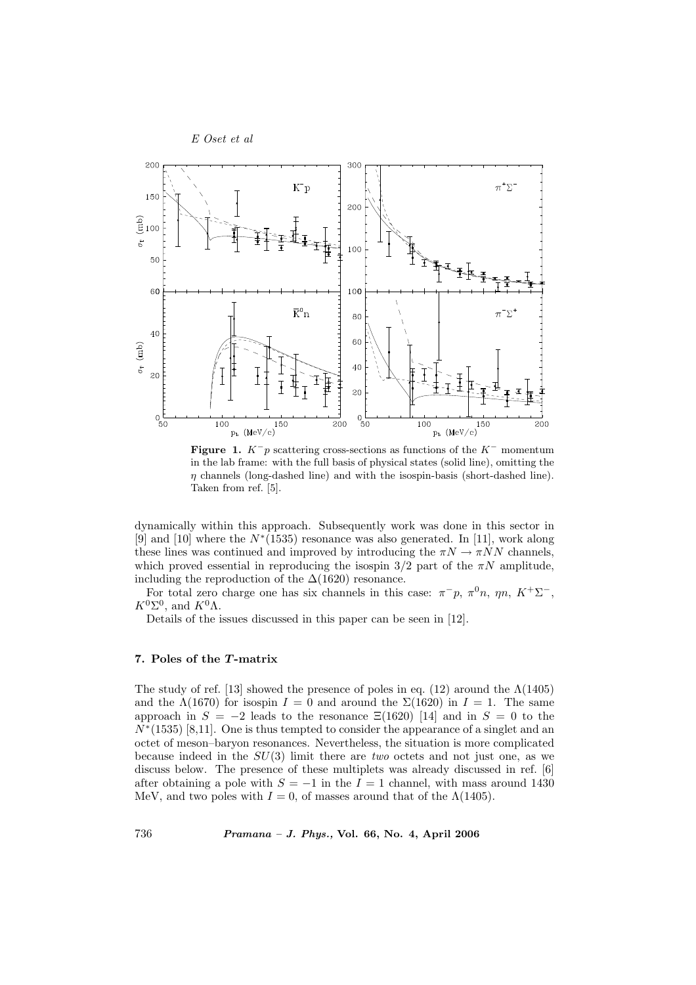

Figure 1.  $K^-p$  scattering cross-sections as functions of the  $K^-$  momentum in the lab frame: with the full basis of physical states (solid line), omitting the  $\eta$  channels (long-dashed line) and with the isospin-basis (short-dashed line). Taken from ref. [5].

dynamically within this approach. Subsequently work was done in this sector in [9] and [10] where the  $N^*(1535)$  resonance was also generated. In [11], work along these lines was continued and improved by introducing the  $\pi N \to \pi NN$  channels, which proved essential in reproducing the isospin  $3/2$  part of the  $\pi N$  amplitude, including the reproduction of the  $\Delta(1620)$  resonance.

For total zero charge one has six channels in this case:  $\pi^- p$ ,  $\pi^0 n$ ,  $\eta n$ ,  $K^+ \Sigma^-$ ,  $K^0\Sigma^0$ , and  $K^0\Lambda$ .

Details of the issues discussed in this paper can be seen in [12].

## 7. Poles of the T -matrix

The study of ref. [13] showed the presence of poles in eq. (12) around the  $\Lambda(1405)$ and the  $\Lambda(1670)$  for isospin  $I = 0$  and around the  $\Sigma(1620)$  in  $I = 1$ . The same approach in  $S = -2$  leads to the resonance  $\Xi(1620)$  [14] and in  $S = 0$  to the  $N^*(1535)$  [8,11]. One is thus tempted to consider the appearance of a singlet and an octet of meson–baryon resonances. Nevertheless, the situation is more complicated because indeed in the  $SU(3)$  limit there are two octets and not just one, as we discuss below. The presence of these multiplets was already discussed in ref. [6] after obtaining a pole with  $S = -1$  in the  $I = 1$  channel, with mass around 1430 MeV, and two poles with  $I = 0$ , of masses around that of the  $\Lambda(1405)$ .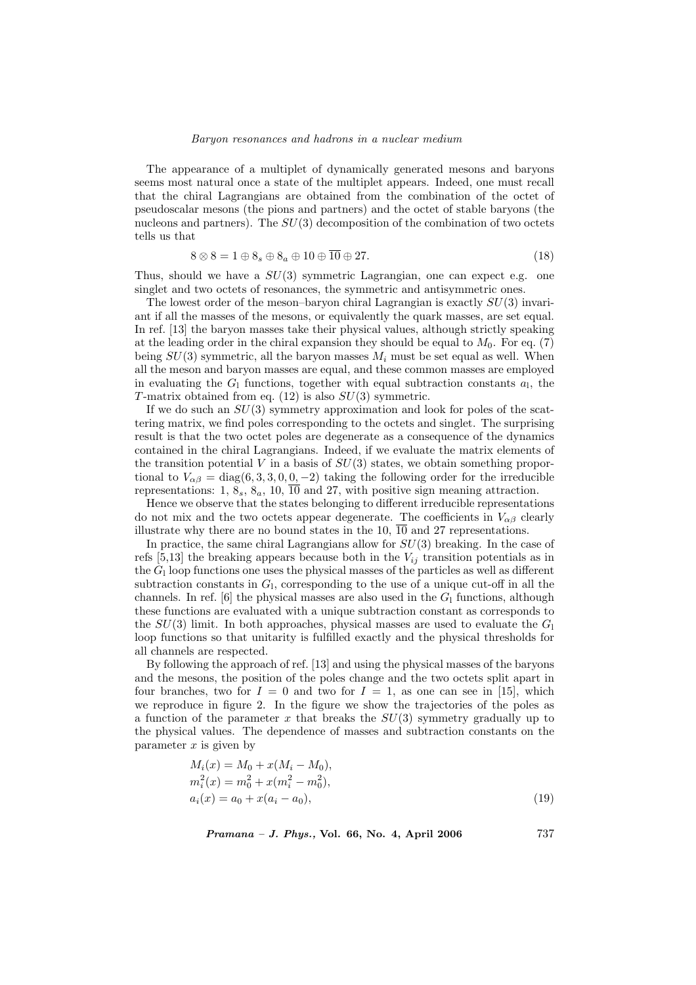The appearance of a multiplet of dynamically generated mesons and baryons seems most natural once a state of the multiplet appears. Indeed, one must recall that the chiral Lagrangians are obtained from the combination of the octet of pseudoscalar mesons (the pions and partners) and the octet of stable baryons (the nucleons and partners). The  $SU(3)$  decomposition of the combination of two octets tells us that

$$
8 \otimes 8 = 1 \oplus 8_s \oplus 8_a \oplus 10 \oplus \overline{10} \oplus 27. \tag{18}
$$

Thus, should we have a  $SU(3)$  symmetric Lagrangian, one can expect e.g. one singlet and two octets of resonances, the symmetric and antisymmetric ones.

The lowest order of the meson–baryon chiral Lagrangian is exactly  $SU(3)$  invariant if all the masses of the mesons, or equivalently the quark masses, are set equal. In ref. [13] the baryon masses take their physical values, although strictly speaking at the leading order in the chiral expansion they should be equal to  $M_0$ . For eq. (7) being  $SU(3)$  symmetric, all the baryon masses  $M_i$  must be set equal as well. When all the meson and baryon masses are equal, and these common masses are employed in evaluating the  $G_1$  functions, together with equal subtraction constants  $a_1$ , the T-matrix obtained from eq.  $(12)$  is also  $SU(3)$  symmetric.

If we do such an  $SU(3)$  symmetry approximation and look for poles of the scattering matrix, we find poles corresponding to the octets and singlet. The surprising result is that the two octet poles are degenerate as a consequence of the dynamics contained in the chiral Lagrangians. Indeed, if we evaluate the matrix elements of the transition potential V in a basis of  $SU(3)$  states, we obtain something proportional to  $V_{\alpha\beta} = \text{diag}(6, 3, 3, 0, 0, -2)$  taking the following order for the irreducible representations: 1,  $8_s$ ,  $8_a$ , 10,  $\overline{10}$  and 27, with positive sign meaning attraction.

Hence we observe that the states belonging to different irreducible representations do not mix and the two octets appear degenerate. The coefficients in  $V_{\alpha\beta}$  clearly illustrate why there are no bound states in the 10,  $\overline{10}$  and 27 representations.

In practice, the same chiral Lagrangians allow for  $SU(3)$  breaking. In the case of refs [5,13] the breaking appears because both in the  $V_{ij}$  transition potentials as in the  $G_1$  loop functions one uses the physical masses of the particles as well as different subtraction constants in  $G_l$ , corresponding to the use of a unique cut-off in all the channels. In ref. [6] the physical masses are also used in the  $G_1$  functions, although these functions are evaluated with a unique subtraction constant as corresponds to the  $SU(3)$  limit. In both approaches, physical masses are used to evaluate the  $G<sub>1</sub>$ loop functions so that unitarity is fulfilled exactly and the physical thresholds for all channels are respected.

By following the approach of ref. [13] and using the physical masses of the baryons and the mesons, the position of the poles change and the two octets split apart in four branches, two for  $I = 0$  and two for  $I = 1$ , as one can see in [15], which we reproduce in figure 2. In the figure we show the trajectories of the poles as a function of the parameter x that breaks the  $SU(3)$  symmetry gradually up to the physical values. The dependence of masses and subtraction constants on the parameter  $x$  is given by

$$
M_i(x) = M_0 + x(M_i - M_0),
$$
  
\n
$$
m_i^2(x) = m_0^2 + x(m_i^2 - m_0^2),
$$
  
\n
$$
a_i(x) = a_0 + x(a_i - a_0),
$$
\n(19)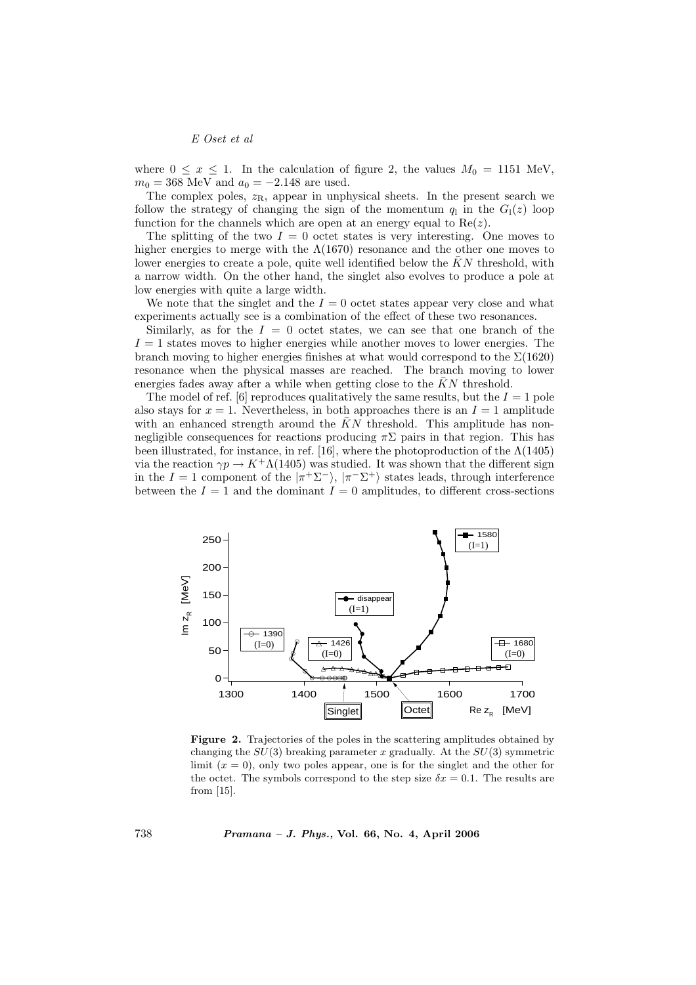where  $0 \leq x \leq 1$ . In the calculation of figure 2, the values  $M_0 = 1151$  MeV,  $m_0 = 368$  MeV and  $a_0 = -2.148$  are used.

The complex poles,  $z_R$ , appear in unphysical sheets. In the present search we follow the strategy of changing the sign of the momentum  $q_1$  in the  $G_1(z)$  loop function for the channels which are open at an energy equal to  $Re(z)$ .

The splitting of the two  $I = 0$  octet states is very interesting. One moves to higher energies to merge with the  $\Lambda(1670)$  resonance and the other one moves to lower energies to create a pole, quite well identified below the  $\bar{K}N$  threshold, with a narrow width. On the other hand, the singlet also evolves to produce a pole at low energies with quite a large width.

We note that the singlet and the  $I = 0$  octet states appear very close and what experiments actually see is a combination of the effect of these two resonances.

Similarly, as for the  $I = 0$  octet states, we can see that one branch of the  $I = 1$  states moves to higher energies while another moves to lower energies. The branch moving to higher energies finishes at what would correspond to the  $\Sigma(1620)$ resonance when the physical masses are reached. The branch moving to lower energies fades away after a while when getting close to the  $\bar{K}N$  threshold.

The model of ref. [6] reproduces qualitatively the same results, but the  $I = 1$  pole also stays for  $x = 1$ . Nevertheless, in both approaches there is an  $I = 1$  amplitude with an enhanced strength around the  $\bar{K}N$  threshold. This amplitude has nonnegligible consequences for reactions producing  $\pi\Sigma$  pairs in that region. This has been illustrated, for instance, in ref. [16], where the photoproduction of the  $\Lambda(1405)$ via the reaction  $\gamma p \to K^+ \Lambda (1405)$  was studied. It was shown that the different sign in the  $I = 1$  component of the  $|\pi^+ \Sigma^- \rangle$ ,  $|\pi^- \Sigma^+ \rangle$  states leads, through interference between the  $I = 1$  and the dominant  $I = 0$  amplitudes, to different cross-sections



Figure 2. Trajectories of the poles in the scattering amplitudes obtained by changing the  $SU(3)$  breaking parameter x gradually. At the  $SU(3)$  symmetric limit  $(x = 0)$ , only two poles appear, one is for the singlet and the other for the octet. The symbols correspond to the step size  $\delta x = 0.1$ . The results are from [15].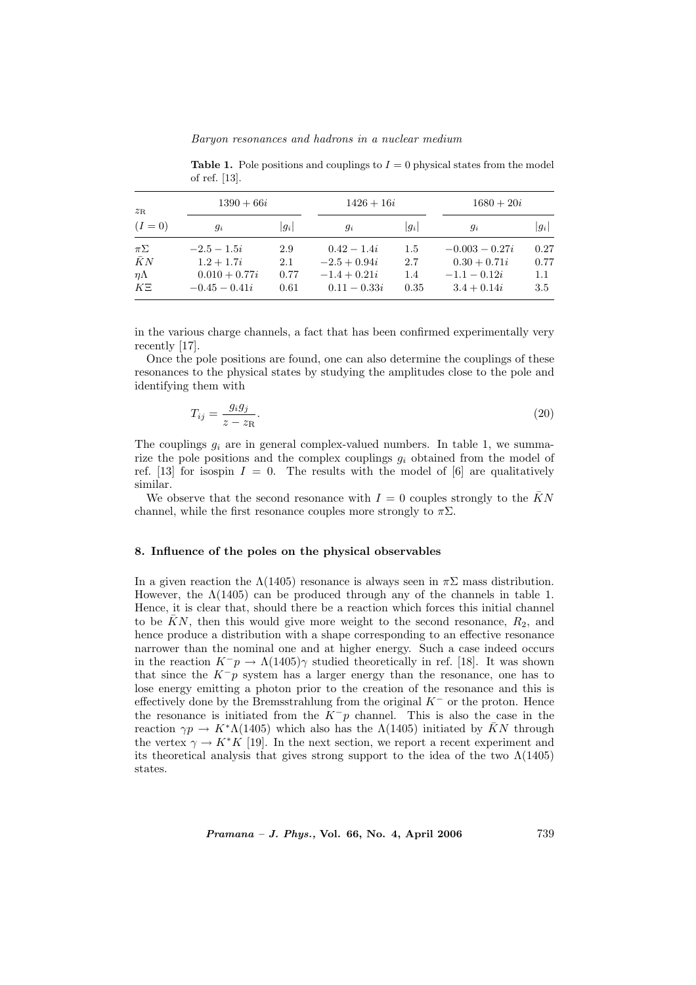| $z_{\rm R}$<br>$(I = 0)$                              | $1390 + 66i$                                                        |                            | $1426 + 16i$                                                        |                           | $1680 + 20i$                                                          |                            |
|-------------------------------------------------------|---------------------------------------------------------------------|----------------------------|---------------------------------------------------------------------|---------------------------|-----------------------------------------------------------------------|----------------------------|
|                                                       | $g_i$                                                               | $ g_i $                    | $g_i$                                                               | $ g_i $                   | $g_i$                                                                 | $ g_i $                    |
| $\pi\Sigma$<br>$\bar{K}N$<br>$\eta\Lambda$<br>$K \Xi$ | $-2.5 - 1.5i$<br>$1.2 + 1.7i$<br>$0.010 + 0.77i$<br>$-0.45 - 0.41i$ | 2.9<br>2.1<br>0.77<br>0.61 | $0.42 - 1.4i$<br>$-2.5 + 0.94i$<br>$-1.4 + 0.21i$<br>$0.11 - 0.33i$ | 1.5<br>2.7<br>1.4<br>0.35 | $-0.003 - 0.27i$<br>$0.30 + 0.71i$<br>$-1.1 - 0.12i$<br>$3.4 + 0.14i$ | 0.27<br>0.77<br>1.1<br>3.5 |

**Table 1.** Pole positions and couplings to  $I = 0$  physical states from the model of ref. [13].

in the various charge channels, a fact that has been confirmed experimentally very recently [17].

Once the pole positions are found, one can also determine the couplings of these resonances to the physical states by studying the amplitudes close to the pole and identifying them with

$$
T_{ij} = \frac{g_i g_j}{z - z_{\rm R}}.\tag{20}
$$

The couplings  $g_i$  are in general complex-valued numbers. In table 1, we summarize the pole positions and the complex couplings  $q_i$  obtained from the model of ref. [13] for isospin  $I = 0$ . The results with the model of [6] are qualitatively similar.

We observe that the second resonance with  $I = 0$  couples strongly to the  $\bar{K}N$ channel, while the first resonance couples more strongly to  $\pi\Sigma$ .

#### 8. Influence of the poles on the physical observables

In a given reaction the  $\Lambda(1405)$  resonance is always seen in  $\pi\Sigma$  mass distribution. However, the  $\Lambda(1405)$  can be produced through any of the channels in table 1. Hence, it is clear that, should there be a reaction which forces this initial channel to be  $\bar{K}N$ , then this would give more weight to the second resonance,  $R_2$ , and hence produce a distribution with a shape corresponding to an effective resonance narrower than the nominal one and at higher energy. Such a case indeed occurs in the reaction  $K^-p \to \Lambda(1405)\gamma$  studied theoretically in ref. [18]. It was shown that since the  $K^-p$  system has a larger energy than the resonance, one has to lose energy emitting a photon prior to the creation of the resonance and this is effectively done by the Bremsstrahlung from the original  $K^-$  or the proton. Hence the resonance is initiated from the  $K^-p$  channel. This is also the case in the reaction  $\gamma p \to K^* \Lambda(1405)$  which also has the  $\Lambda(1405)$  initiated by  $\bar{K}N$  through the vertex  $\gamma \to K^*K$  [19]. In the next section, we report a recent experiment and its theoretical analysis that gives strong support to the idea of the two  $\Lambda(1405)$ states.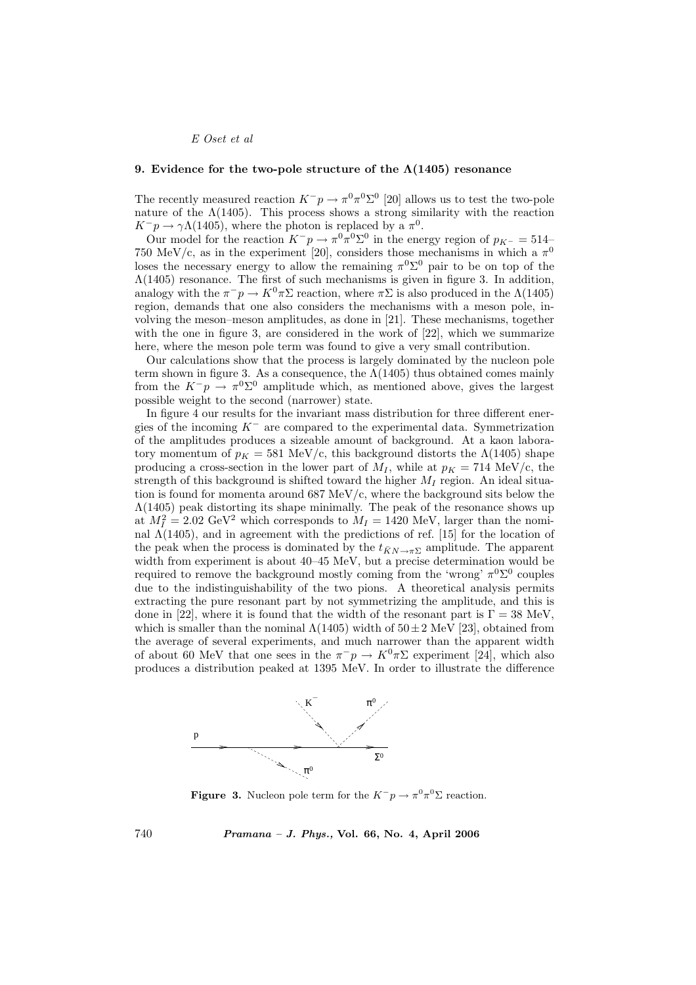#### 9. Evidence for the two-pole structure of the  $\Lambda(1405)$  resonance

The recently measured reaction  $K^-p \to \pi^0 \pi^0 \Sigma^0$  [20] allows us to test the two-pole nature of the  $\Lambda(1405)$ . This process shows a strong similarity with the reaction  $K^-p \to \gamma\Lambda(1405)$ , where the photon is replaced by a  $\pi^0$ .

Our model for the reaction  $K^-p \to \pi^0\pi^0\Sigma^0$  in the energy region of  $p_{K^-} = 514-$ 750 MeV/c, as in the experiment [20], considers those mechanisms in which a  $\pi^0$ loses the necessary energy to allow the remaining  $\pi^0\Sigma^0$  pair to be on top of the  $\Lambda(1405)$  resonance. The first of such mechanisms is given in figure 3. In addition, analogy with the  $\pi^- p \to K^0 \pi \Sigma$  reaction, where  $\pi \Sigma$  is also produced in the  $\Lambda(1405)$ region, demands that one also considers the mechanisms with a meson pole, involving the meson–meson amplitudes, as done in [21]. These mechanisms, together with the one in figure 3, are considered in the work of [22], which we summarize here, where the meson pole term was found to give a very small contribution.

Our calculations show that the process is largely dominated by the nucleon pole term shown in figure 3. As a consequence, the  $\Lambda(1405)$  thus obtained comes mainly from the  $K^-p \to \pi^0\Sigma^0$  amplitude which, as mentioned above, gives the largest possible weight to the second (narrower) state.

In figure 4 our results for the invariant mass distribution for three different energies of the incoming  $K^-$  are compared to the experimental data. Symmetrization of the amplitudes produces a sizeable amount of background. At a kaon laboratory momentum of  $p_K = 581$  MeV/c, this background distorts the  $\Lambda(1405)$  shape producing a cross-section in the lower part of  $M_I$ , while at  $p_K = 714$  MeV/c, the strength of this background is shifted toward the higher  $M_I$  region. An ideal situation is found for momenta around 687 MeV/c, where the background sits below the  $\Lambda(1405)$  peak distorting its shape minimally. The peak of the resonance shows up at  $M_I^2 = 2.02 \text{ GeV}^2$  which corresponds to  $M_I = 1420 \text{ MeV}$ , larger than the nominal  $\Lambda(1405)$ , and in agreement with the predictions of ref. [15] for the location of the peak when the process is dominated by the  $t_{\bar{K}N \to \pi\Sigma}$  amplitude. The apparent width from experiment is about 40–45 MeV, but a precise determination would be required to remove the background mostly coming from the 'wrong'  $\pi^0\Sigma^0$  couples due to the indistinguishability of the two pions. A theoretical analysis permits extracting the pure resonant part by not symmetrizing the amplitude, and this is done in [22], where it is found that the width of the resonant part is  $\Gamma = 38$  MeV, which is smaller than the nominal  $\Lambda(1405)$  width of  $50 \pm 2$  MeV [23], obtained from the average of several experiments, and much narrower than the apparent width of about 60 MeV that one sees in the  $\pi^-p \to K^0\pi\Sigma$  experiment [24], which also produces a distribution peaked at 1395 MeV. In order to illustrate the difference



**Figure 3.** Nucleon pole term for the  $K^-p \to \pi^0 \pi^0 \Sigma$  reaction.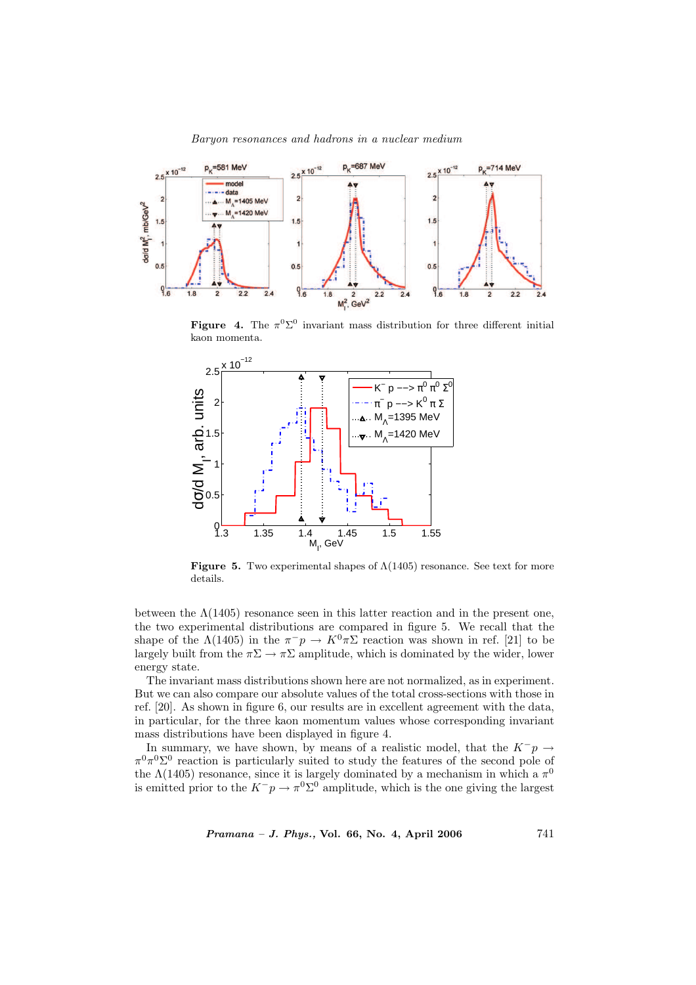

**Figure** 4. The  $\pi^{0}\Sigma^{0}$  invariant mass distribution for three different initial kaon momenta.



**Figure 5.** Two experimental shapes of  $\Lambda(1405)$  resonance. See text for more details.

between the  $\Lambda(1405)$  resonance seen in this latter reaction and in the present one, the two experimental distributions are compared in figure 5. We recall that the shape of the  $\Lambda(1405)$  in the  $\pi^-p \to K^0\pi\Sigma$  reaction was shown in ref. [21] to be largely built from the  $\pi\Sigma \to \pi\Sigma$  amplitude, which is dominated by the wider, lower energy state.

The invariant mass distributions shown here are not normalized, as in experiment. But we can also compare our absolute values of the total cross-sections with those in ref. [20]. As shown in figure 6, our results are in excellent agreement with the data, in particular, for the three kaon momentum values whose corresponding invariant mass distributions have been displayed in figure 4.

In summary, we have shown, by means of a realistic model, that the  $K^-p \rightarrow$  $\pi^{0}\pi^{0}\Sigma^{0}$  reaction is particularly suited to study the features of the second pole of the  $\Lambda(1405)$  resonance, since it is largely dominated by a mechanism in which a  $\pi^0$ is emitted prior to the  $K^-p \to \pi^0\Sigma^0$  amplitude, which is the one giving the largest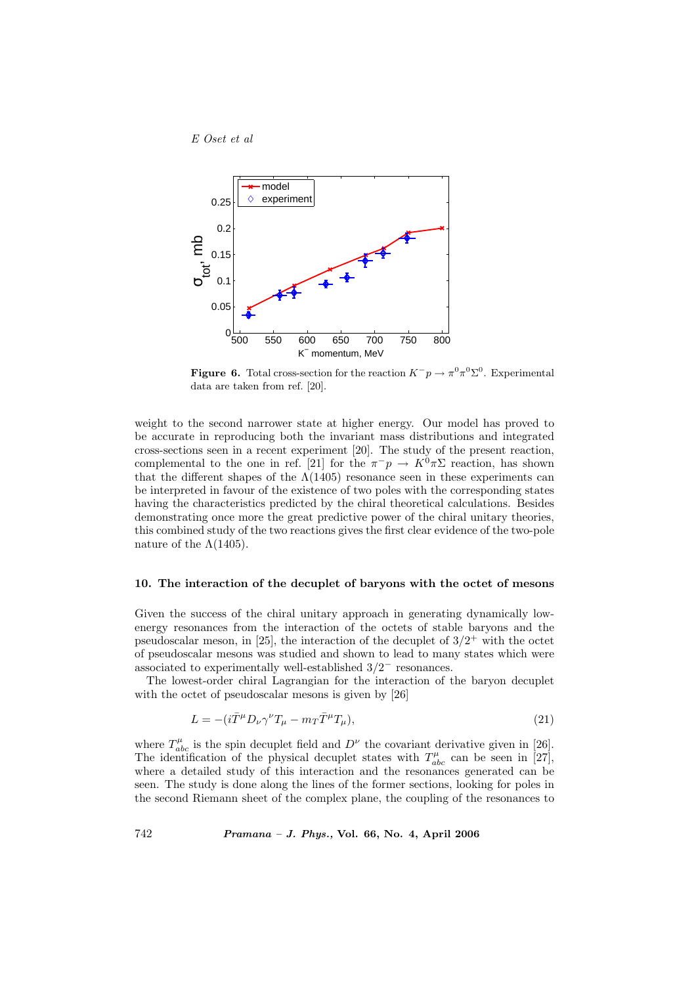

**Figure 6.** Total cross-section for the reaction  $K^-p \to \pi^0 \pi^0 \Sigma^0$ . Experimental data are taken from ref. [20].

weight to the second narrower state at higher energy. Our model has proved to be accurate in reproducing both the invariant mass distributions and integrated cross-sections seen in a recent experiment [20]. The study of the present reaction, complemental to the one in ref. [21] for the  $\pi^-p \to K^0\pi\Sigma$  reaction, has shown that the different shapes of the  $\Lambda(1405)$  resonance seen in these experiments can be interpreted in favour of the existence of two poles with the corresponding states having the characteristics predicted by the chiral theoretical calculations. Besides demonstrating once more the great predictive power of the chiral unitary theories, this combined study of the two reactions gives the first clear evidence of the two-pole nature of the  $\Lambda(1405)$ .

#### 10. The interaction of the decuplet of baryons with the octet of mesons

Given the success of the chiral unitary approach in generating dynamically lowenergy resonances from the interaction of the octets of stable baryons and the pseudoscalar meson, in [25], the interaction of the decuplet of  $3/2^+$  with the octet of pseudoscalar mesons was studied and shown to lead to many states which were associated to experimentally well-established  $3/2^-$  resonances.

The lowest-order chiral Lagrangian for the interaction of the baryon decuplet with the octet of pseudoscalar mesons is given by [26]

$$
L = -(i\bar{T}^{\mu}D_{\nu}\gamma^{\nu}T_{\mu} - m_{T}\bar{T}^{\mu}T_{\mu}), \qquad (21)
$$

where  $T^{\mu}_{abc}$  is the spin decuplet field and  $D^{\nu}$  the covariant derivative given in [26]. The identification of the physical decuplet states with  $T_{abc}^{\mu}$  can be seen in [27], where a detailed study of this interaction and the resonances generated can be seen. The study is done along the lines of the former sections, looking for poles in the second Riemann sheet of the complex plane, the coupling of the resonances to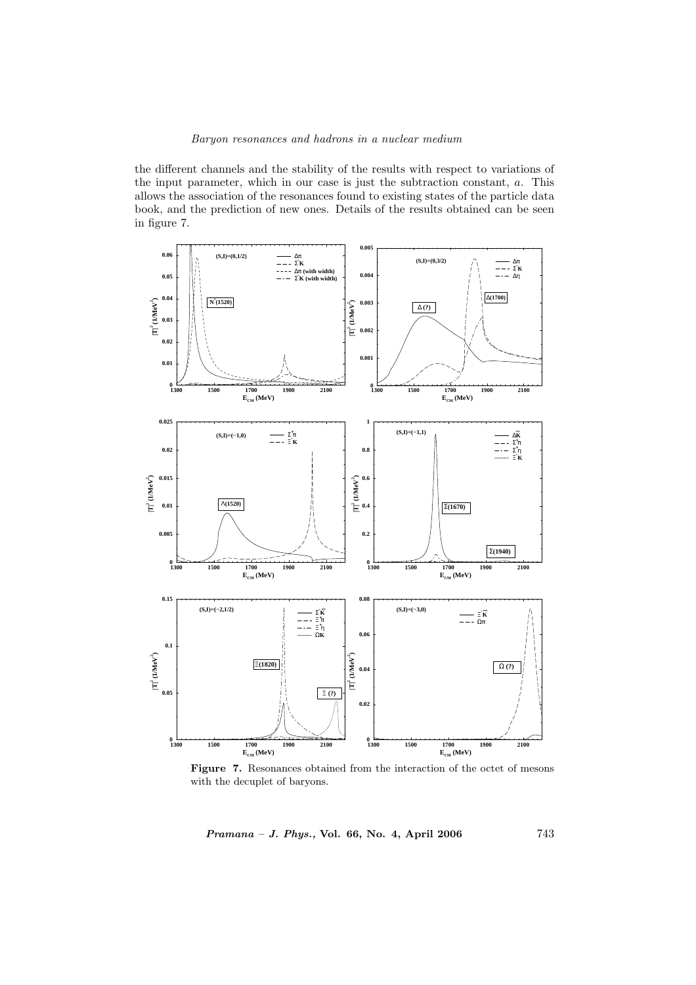the different channels and the stability of the results with respect to variations of the input parameter, which in our case is just the subtraction constant, a. This allows the association of the resonances found to existing states of the particle data book, and the prediction of new ones. Details of the results obtained can be seen in figure 7.



Figure 7. Resonances obtained from the interaction of the octet of mesons with the decuplet of baryons.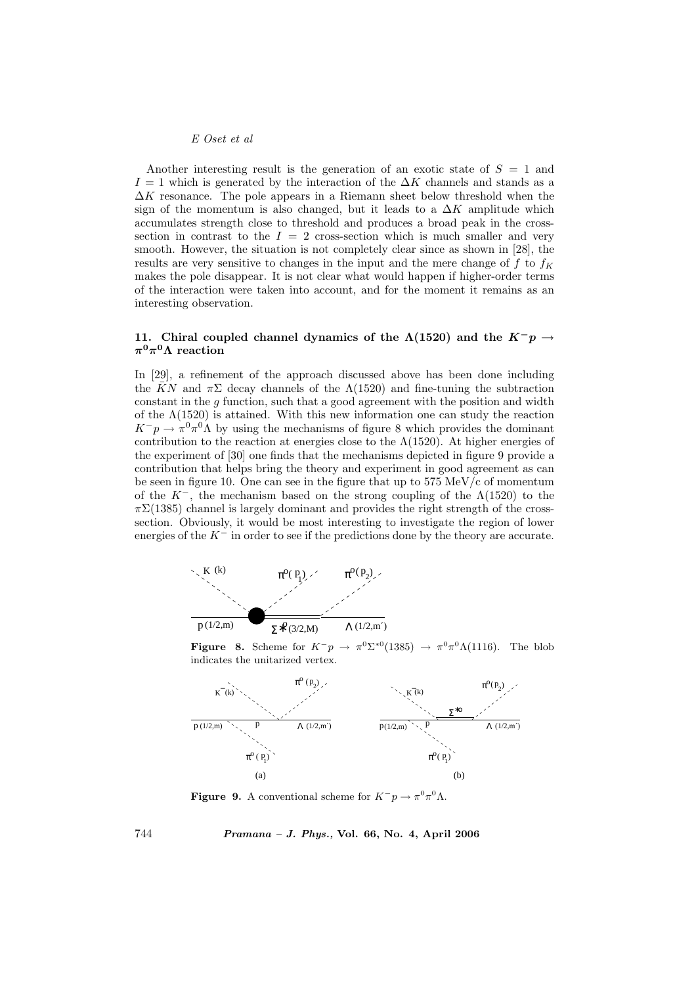Another interesting result is the generation of an exotic state of  $S = 1$  and  $I = 1$  which is generated by the interaction of the  $\Delta K$  channels and stands as a  $\Delta K$  resonance. The pole appears in a Riemann sheet below threshold when the sign of the momentum is also changed, but it leads to a  $\Delta K$  amplitude which accumulates strength close to threshold and produces a broad peak in the crosssection in contrast to the  $I = 2$  cross-section which is much smaller and very smooth. However, the situation is not completely clear since as shown in [28], the results are very sensitive to changes in the input and the mere change of  $\hat{f}$  to  $f_K$ makes the pole disappear. It is not clear what would happen if higher-order terms of the interaction were taken into account, and for the moment it remains as an interesting observation.

## 11. Chiral coupled channel dynamics of the  $\Lambda(1520)$  and the  $K^-p \rightarrow$  $\pi^0\pi^0\Lambda$  reaction

In [29], a refinement of the approach discussed above has been done including the KN and  $\pi\Sigma$  decay channels of the  $\Lambda(1520)$  and fine-tuning the subtraction constant in the  $g$  function, such that a good agreement with the position and width of the  $\Lambda(1520)$  is attained. With this new information one can study the reaction  $K^-p \to \pi^0\pi^0\Lambda$  by using the mechanisms of figure 8 which provides the dominant contribution to the reaction at energies close to the  $\Lambda(1520)$ . At higher energies of the experiment of [30] one finds that the mechanisms depicted in figure 9 provide a contribution that helps bring the theory and experiment in good agreement as can be seen in figure 10. One can see in the figure that up to 575 MeV/c of momentum of the K<sup>-</sup>, the mechanism based on the strong coupling of the  $\Lambda(1520)$  to the  $\pi\Sigma(1385)$  channel is largely dominant and provides the right strength of the crosssection. Obviously, it would be most interesting to investigate the region of lower energies of the  $K^-$  in order to see if the predictions done by the theory are accurate.



**Figure 8.** Scheme for  $K^-p \to \pi^0\Sigma^{*0}(1385) \to \pi^0\pi^0\Lambda(1116)$ . The blob indicates the unitarized vertex.



**Figure 9.** A conventional scheme for  $K^-p \to \pi^0 \pi^0 \Lambda$ .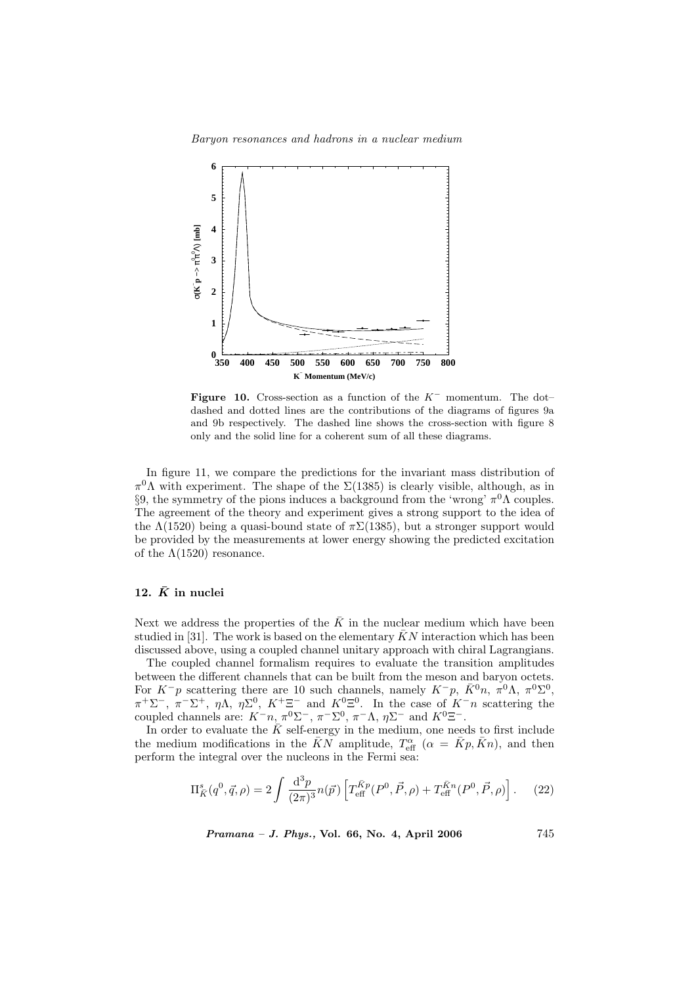

Figure 10. Cross-section as a function of the  $K^-$  momentum. The dot– dashed and dotted lines are the contributions of the diagrams of figures 9a and 9b respectively. The dashed line shows the cross-section with figure 8 only and the solid line for a coherent sum of all these diagrams.

In figure 11, we compare the predictions for the invariant mass distribution of  $\pi^{0}\Lambda$  with experiment. The shape of the  $\Sigma(1385)$  is clearly visible, although, as in §9, the symmetry of the pions induces a background from the 'wrong'  $\pi^0 \Lambda$  couples. The agreement of the theory and experiment gives a strong support to the idea of the  $\Lambda(1520)$  being a quasi-bound state of  $\pi\Sigma(1385)$ , but a stronger support would be provided by the measurements at lower energy showing the predicted excitation of the  $\Lambda(1520)$  resonance.

## 12.  $\bar{K}$  in nuclei

Next we address the properties of the  $\bar{K}$  in the nuclear medium which have been studied in [31]. The work is based on the elementary  $\bar{K}N$  interaction which has been discussed above, using a coupled channel unitary approach with chiral Lagrangians.

The coupled channel formalism requires to evaluate the transition amplitudes between the different channels that can be built from the meson and baryon octets. For  $K^-p$  scattering there are 10 such channels, namely  $K^-p$ ,  $\bar{K}^0n$ ,  $\pi^0\Lambda$ ,  $\pi^0\Sigma^0$ ,  $\pi^+\Sigma^-$ ,  $\pi^-\Sigma^+$ ,  $\eta\Lambda$ ,  $\eta\Sigma^0$ ,  $K^+\Xi^-$  and  $K^0\Xi^0$ . In the case of  $K^-n$  scattering the coupled channels are:  $K^-\pi, \pi^0\Sigma^-, \pi^-\Sigma^0, \pi^-\Lambda, \eta\Sigma^-$  and  $K^0\Xi^-$ .

In order to evaluate the  $\bar{K}$  self-energy in the medium, one needs to first include the medium modifications in the  $\overline{K}N^{\alpha}$  amplitude,  $T_{\text{eff}}^{\alpha}$   $(\alpha = \overline{K}p, \overline{K}n)$ , and then perform the integral over the nucleons in the Fermi sea:

$$
\Pi_{\bar{K}}^{s}(q^{0}, \vec{q}, \rho) = 2 \int \frac{\mathrm{d}^{3} p}{(2\pi)^{3}} n(\vec{p}) \left[ T_{\text{eff}}^{\bar{K}p}(P^{0}, \vec{P}, \rho) + T_{\text{eff}}^{\bar{K}n}(P^{0}, \vec{P}, \rho) \right]. \tag{22}
$$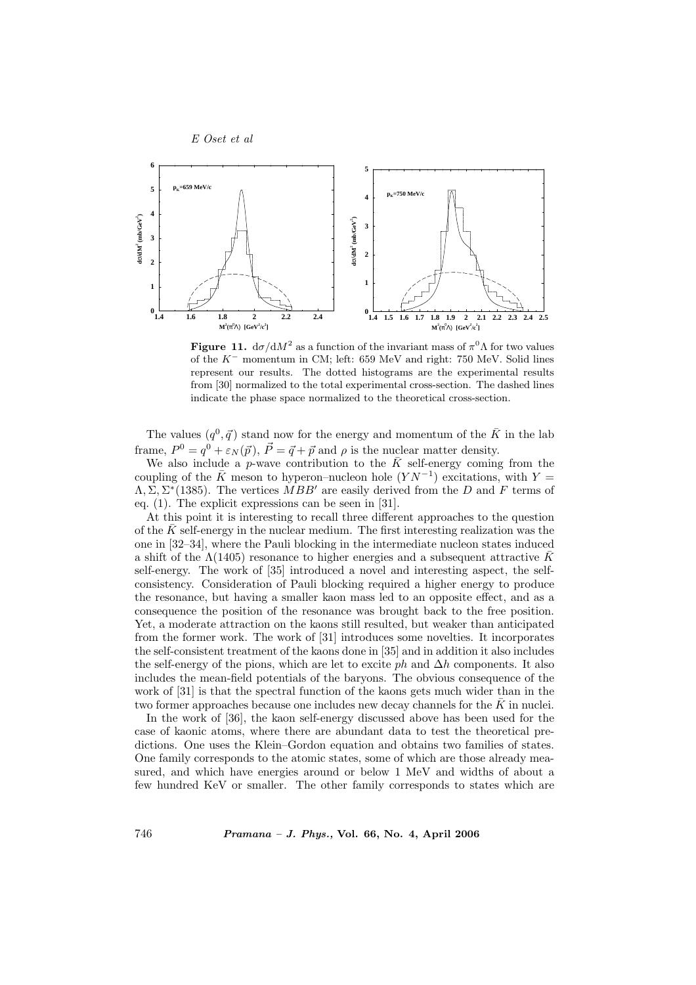

**Figure 11.**  $d\sigma/dM^2$  as a function of the invariant mass of  $\pi^0 \Lambda$  for two values of the K<sup>−</sup> momentum in CM; left: 659 MeV and right: 750 MeV. Solid lines represent our results. The dotted histograms are the experimental results from [30] normalized to the total experimental cross-section. The dashed lines indicate the phase space normalized to the theoretical cross-section.

The values  $(q^0, \vec{q})$  stand now for the energy and momentum of the  $\bar{K}$  in the lab frame,  $P^0 = q^0 + \varepsilon_N(\vec{p}), \vec{P} = \vec{q} + \vec{p}$  and  $\rho$  is the nuclear matter density.

We also include a p-wave contribution to the  $\overline{K}$  self-energy coming from the coupling of the  $\overline{K}$  meson to hyperon–nucleon hole  $(YN^{-1})$  excitations, with  $Y =$  $\Lambda$ ,  $\Sigma$ ,  $\Sigma^*(1385)$ . The vertices  $MBB'$  are easily derived from the D and F terms of eq. (1). The explicit expressions can be seen in [31].

At this point it is interesting to recall three different approaches to the question of the  $\bar{K}$  self-energy in the nuclear medium. The first interesting realization was the one in [32–34], where the Pauli blocking in the intermediate nucleon states induced a shift of the  $\Lambda(1405)$  resonance to higher energies and a subsequent attractive  $\bar{K}$ self-energy. The work of [35] introduced a novel and interesting aspect, the selfconsistency. Consideration of Pauli blocking required a higher energy to produce the resonance, but having a smaller kaon mass led to an opposite effect, and as a consequence the position of the resonance was brought back to the free position. Yet, a moderate attraction on the kaons still resulted, but weaker than anticipated from the former work. The work of [31] introduces some novelties. It incorporates the self-consistent treatment of the kaons done in [35] and in addition it also includes the self-energy of the pions, which are let to excite ph and  $\Delta h$  components. It also includes the mean-field potentials of the baryons. The obvious consequence of the work of [31] is that the spectral function of the kaons gets much wider than in the two former approaches because one includes new decay channels for the  $K$  in nuclei.

In the work of [36], the kaon self-energy discussed above has been used for the case of kaonic atoms, where there are abundant data to test the theoretical predictions. One uses the Klein–Gordon equation and obtains two families of states. One family corresponds to the atomic states, some of which are those already measured, and which have energies around or below 1 MeV and widths of about a few hundred KeV or smaller. The other family corresponds to states which are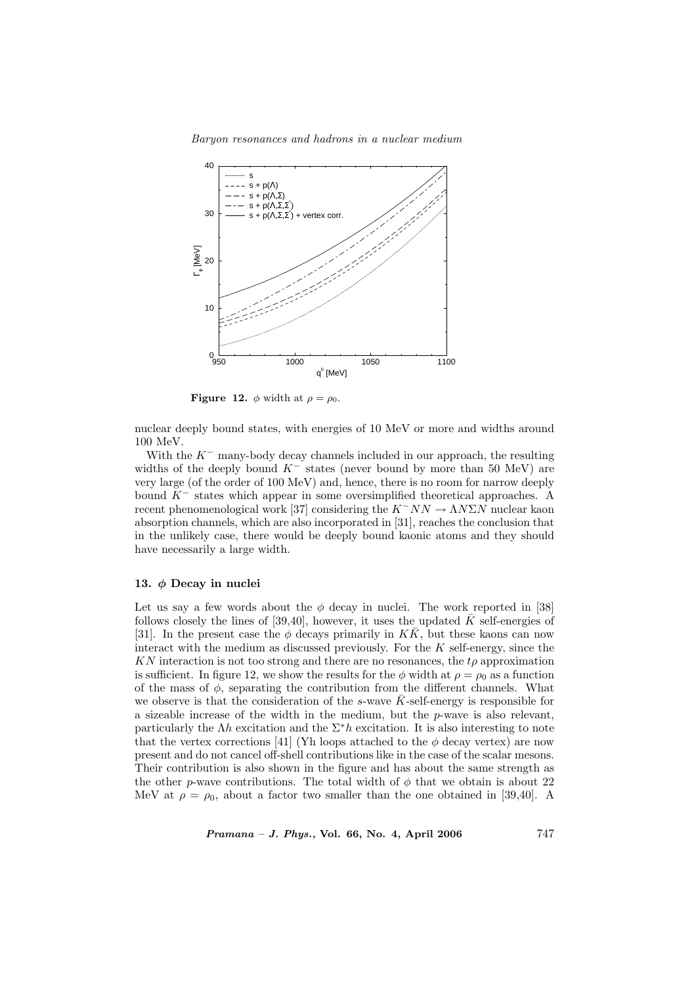

**Figure 12.**  $\phi$  width at  $\rho = \rho_0$ .

nuclear deeply bound states, with energies of 10 MeV or more and widths around 100 MeV.

With the  $K^-$  many-body decay channels included in our approach, the resulting widths of the deeply bound  $K^-$  states (never bound by more than 50 MeV) are very large (of the order of 100 MeV) and, hence, there is no room for narrow deeply bound  $K^-$  states which appear in some oversimplified theoretical approaches. A recent phenomenological work [37] considering the  $K^-NN \to \Lambda N\Sigma N$  nuclear kaon absorption channels, which are also incorporated in [31], reaches the conclusion that in the unlikely case, there would be deeply bound kaonic atoms and they should have necessarily a large width.

#### 13. φ Decay in nuclei

Let us say a few words about the  $\phi$  decay in nuclei. The work reported in [38] follows closely the lines of [39,40], however, it uses the updated  $\bar{K}$  self-energies of [31]. In the present case the  $\phi$  decays primarily in  $K\overline{K}$ , but these kaons can now interact with the medium as discussed previously. For the  $K$  self-energy, since the KN interaction is not too strong and there are no resonances, the  $t\rho$  approximation is sufficient. In figure 12, we show the results for the  $\phi$  width at  $\rho = \rho_0$  as a function of the mass of  $\phi$ , separating the contribution from the different channels. What we observe is that the consideration of the s-wave  $\overline{K}$ -self-energy is responsible for a sizeable increase of the width in the medium, but the p-wave is also relevant, particularly the  $\Lambda h$  excitation and the  $\Sigma^* h$  excitation. It is also interesting to note that the vertex corrections [41] (Yh loops attached to the  $\phi$  decay vertex) are now present and do not cancel off-shell contributions like in the case of the scalar mesons. Their contribution is also shown in the figure and has about the same strength as the other p-wave contributions. The total width of  $\phi$  that we obtain is about 22 MeV at  $\rho = \rho_0$ , about a factor two smaller than the one obtained in [39,40]. A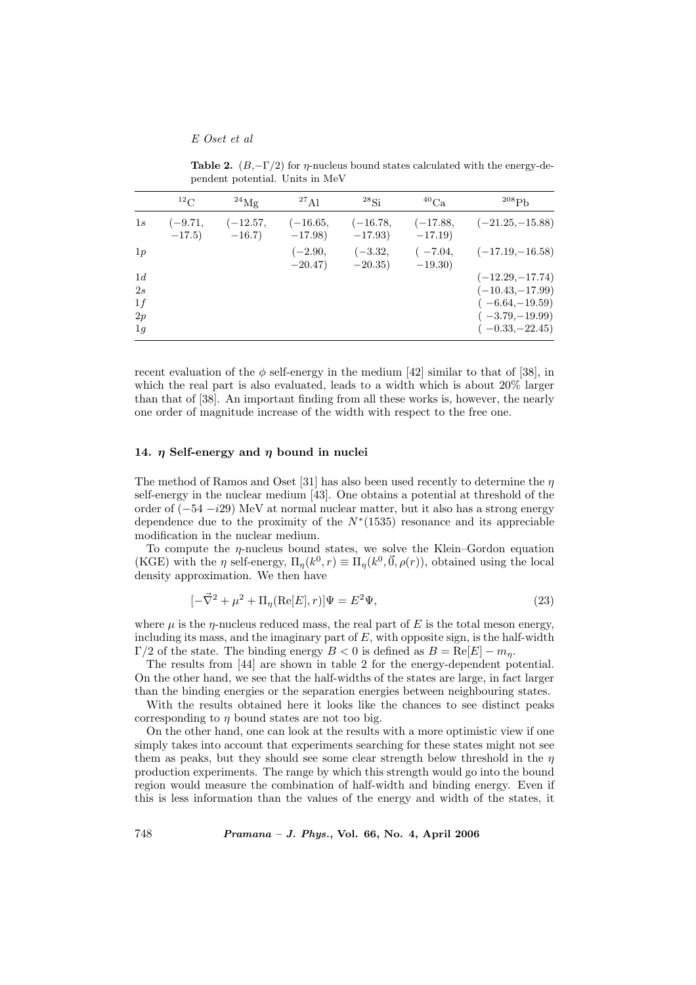Table 2.  $(B, -\Gamma/2)$  for  $\eta$ -nucleus bound states calculated with the energy-dependent potential. Units in MeV

|    | $^{12}$ C             | $^{24}$ Mg            | $^{27}$ Al             | $^{28}$ Si              | ${}^{40}\mathrm{Ca}$    | $^{208}Pb$        |
|----|-----------------------|-----------------------|------------------------|-------------------------|-------------------------|-------------------|
| 1s | $(-9.71,$<br>$-17.5)$ | $(-12.57,$<br>$-16.7$ | $(-16.65,$<br>$-17.98$ | $(-16.78,$<br>$-17.93)$ | $(-17.88,$<br>$-17.19)$ | $(-21.25,-15.88)$ |
| 1p |                       |                       | $(-2.90,$<br>$-20.47)$ | $(-3.32,$<br>$-20.35)$  | $(-7.04,$<br>$-19.30)$  | $(-17.19,-16.58)$ |
| 1d |                       |                       |                        |                         |                         | $(-12.29,-17.74)$ |
| 2s |                       |                       |                        |                         |                         | $(-10.43,-17.99)$ |
| 1f |                       |                       |                        |                         |                         | $(-6.64,-19.59)$  |
| 2p |                       |                       |                        |                         |                         | $-3.79,-19.99)$   |
| 1q |                       |                       |                        |                         |                         | $(-0.33,-22.45)$  |

recent evaluation of the  $\phi$  self-energy in the medium [42] similar to that of [38], in which the real part is also evaluated, leads to a width which is about 20% larger than that of [38]. An important finding from all these works is, however, the nearly one order of magnitude increase of the width with respect to the free one.

## 14.  $\eta$  Self-energy and  $\eta$  bound in nuclei

The method of Ramos and Oset [31] has also been used recently to determine the  $\eta$ self-energy in the nuclear medium [43]. One obtains a potential at threshold of the order of  $(-54 - i29)$  MeV at normal nuclear matter, but it also has a strong energy dependence due to the proximity of the  $N^*(1535)$  resonance and its appreciable modification in the nuclear medium.

To compute the  $\eta$ -nucleus bound states, we solve the Klein–Gordon equation (KGE) with the  $\eta$  self-energy,  $\Pi_{\eta}(k^0, r) \equiv \Pi_{\eta}(k^0, \vec{0}, \rho(r))$ , obtained using the local density approximation. We then have

$$
[-\vec{\nabla}^2 + \mu^2 + \Pi_{\eta}(\text{Re}[E], r)]\Psi = E^2\Psi,
$$
\n(23)

where  $\mu$  is the  $\eta$ -nucleus reduced mass, the real part of E is the total meson energy, including its mass, and the imaginary part of  $E$ , with opposite sign, is the half-width Γ/2 of the state. The binding energy  $B < 0$  is defined as  $B = \text{Re}[E] - m_n$ .

The results from [44] are shown in table 2 for the energy-dependent potential. On the other hand, we see that the half-widths of the states are large, in fact larger than the binding energies or the separation energies between neighbouring states.

With the results obtained here it looks like the chances to see distinct peaks corresponding to  $\eta$  bound states are not too big.

On the other hand, one can look at the results with a more optimistic view if one simply takes into account that experiments searching for these states might not see them as peaks, but they should see some clear strength below threshold in the  $\eta$ production experiments. The range by which this strength would go into the bound region would measure the combination of half-width and binding energy. Even if this is less information than the values of the energy and width of the states, it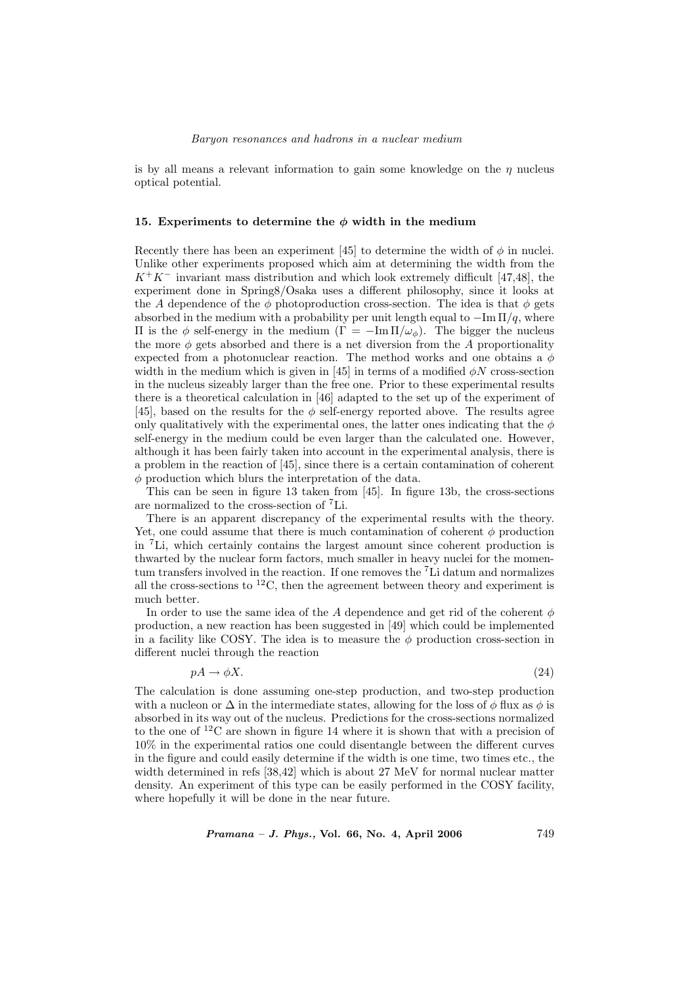is by all means a relevant information to gain some knowledge on the  $\eta$  nucleus optical potential.

#### 15. Experiments to determine the  $\phi$  width in the medium

Recently there has been an experiment [45] to determine the width of  $\phi$  in nuclei. Unlike other experiments proposed which aim at determining the width from the  $K^+K^-$  invariant mass distribution and which look extremely difficult [47,48], the experiment done in Spring8/Osaka uses a different philosophy, since it looks at the A dependence of the  $\phi$  photoproduction cross-section. The idea is that  $\phi$  gets absorbed in the medium with a probability per unit length equal to  $-\text{Im }\Pi/q$ , where Π is the φ self-energy in the medium (Γ = −Im Π/ωφ). The bigger the nucleus the more  $\phi$  gets absorbed and there is a net diversion from the A proportionality expected from a photonuclear reaction. The method works and one obtains a  $\phi$ width in the medium which is given in [45] in terms of a modified  $\phi N$  cross-section in the nucleus sizeably larger than the free one. Prior to these experimental results there is a theoretical calculation in [46] adapted to the set up of the experiment of [45], based on the results for the  $\phi$  self-energy reported above. The results agree only qualitatively with the experimental ones, the latter ones indicating that the  $\phi$ self-energy in the medium could be even larger than the calculated one. However, although it has been fairly taken into account in the experimental analysis, there is a problem in the reaction of [45], since there is a certain contamination of coherent  $\phi$  production which blurs the interpretation of the data.

This can be seen in figure 13 taken from [45]. In figure 13b, the cross-sections are normalized to the cross-section of <sup>7</sup>Li.

There is an apparent discrepancy of the experimental results with the theory. Yet, one could assume that there is much contamination of coherent  $\phi$  production in <sup>7</sup>Li, which certainly contains the largest amount since coherent production is thwarted by the nuclear form factors, much smaller in heavy nuclei for the momentum transfers involved in the reaction. If one removes the <sup>7</sup>Li datum and normalizes all the cross-sections to  ${}^{12}C$ , then the agreement between theory and experiment is much better.

In order to use the same idea of the A dependence and get rid of the coherent  $\phi$ production, a new reaction has been suggested in [49] which could be implemented in a facility like COSY. The idea is to measure the  $\phi$  production cross-section in different nuclei through the reaction

$$
pA \to \phi X. \tag{24}
$$

The calculation is done assuming one-step production, and two-step production with a nucleon or  $\Delta$  in the intermediate states, allowing for the loss of  $\phi$  flux as  $\phi$  is absorbed in its way out of the nucleus. Predictions for the cross-sections normalized to the one of  ${}^{12}C$  are shown in figure 14 where it is shown that with a precision of 10% in the experimental ratios one could disentangle between the different curves in the figure and could easily determine if the width is one time, two times etc., the width determined in refs [38,42] which is about 27 MeV for normal nuclear matter density. An experiment of this type can be easily performed in the COSY facility, where hopefully it will be done in the near future.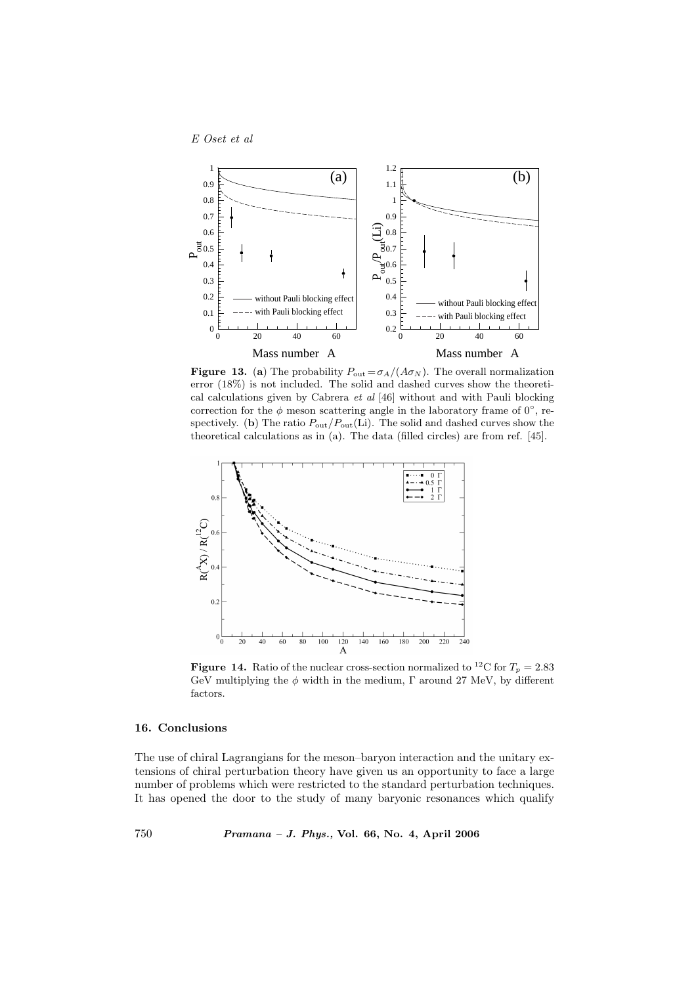

**Figure 13.** (a) The probability  $P_{\text{out}} = \sigma_A / (A \sigma_N)$ . The overall normalization error (18%) is not included. The solid and dashed curves show the theoretical calculations given by Cabrera et al [46] without and with Pauli blocking correction for the  $\phi$  meson scattering angle in the laboratory frame of  $0^{\circ}$ , respectively. (b) The ratio  $P_{\text{out}}/P_{\text{out}}(\text{Li})$ . The solid and dashed curves show the theoretical calculations as in (a). The data (filled circles) are from ref. [45].



**Figure 14.** Ratio of the nuclear cross-section normalized to <sup>12</sup>C for  $T_p = 2.83$ GeV multiplying the  $\phi$  width in the medium,  $\Gamma$  around 27 MeV, by different factors.

#### 16. Conclusions

The use of chiral Lagrangians for the meson–baryon interaction and the unitary extensions of chiral perturbation theory have given us an opportunity to face a large number of problems which were restricted to the standard perturbation techniques. It has opened the door to the study of many baryonic resonances which qualify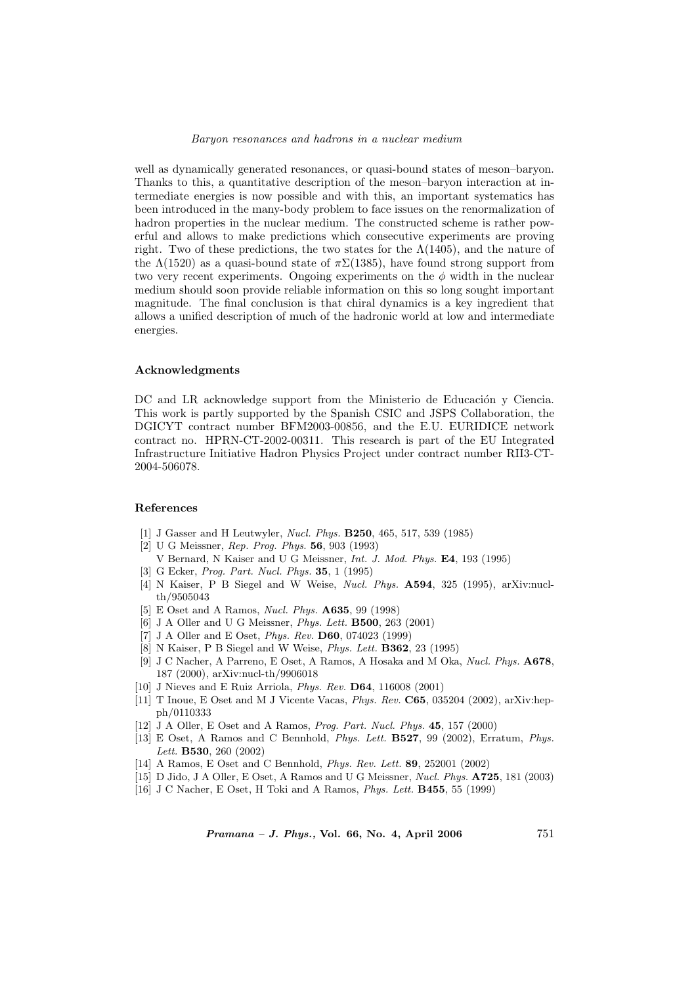well as dynamically generated resonances, or quasi-bound states of meson–baryon. Thanks to this, a quantitative description of the meson–baryon interaction at intermediate energies is now possible and with this, an important systematics has been introduced in the many-body problem to face issues on the renormalization of hadron properties in the nuclear medium. The constructed scheme is rather powerful and allows to make predictions which consecutive experiments are proving right. Two of these predictions, the two states for the  $\Lambda(1405)$ , and the nature of the  $\Lambda(1520)$  as a quasi-bound state of  $\pi\Sigma(1385)$ , have found strong support from two very recent experiments. Ongoing experiments on the  $\phi$  width in the nuclear medium should soon provide reliable information on this so long sought important magnitude. The final conclusion is that chiral dynamics is a key ingredient that allows a unified description of much of the hadronic world at low and intermediate energies.

#### Acknowledgments

DC and LR acknowledge support from the Ministerio de Educación y Ciencia. This work is partly supported by the Spanish CSIC and JSPS Collaboration, the DGICYT contract number BFM2003-00856, and the E.U. EURIDICE network contract no. HPRN-CT-2002-00311. This research is part of the EU Integrated Infrastructure Initiative Hadron Physics Project under contract number RII3-CT-2004-506078.

#### References

- [1] J Gasser and H Leutwyler, Nucl. Phys. B250, 465, 517, 539 (1985)
- [2] U G Meissner, Rep. Prog. Phys. 56, 903 (1993)
- V Bernard, N Kaiser and U G Meissner, Int. J. Mod. Phys. E4, 193 (1995)
- [3] G Ecker, Prog. Part. Nucl. Phys. 35, 1 (1995)
- [4] N Kaiser, P B Siegel and W Weise, Nucl. Phys. A594, 325 (1995), arXiv:nuclth/9505043
- [5] E Oset and A Ramos, Nucl. Phys. A635, 99 (1998)
- [6] J A Oller and U G Meissner, *Phys. Lett.* **B500**, 263 (2001)
- [7] J A Oller and E Oset, Phys. Rev. D60, 074023 (1999)
- [8] N Kaiser, P B Siegel and W Weise, Phys. Lett. B362, 23 (1995)
- [9] J C Nacher, A Parreno, E Oset, A Ramos, A Hosaka and M Oka, Nucl. Phys. A678, 187 (2000), arXiv:nucl-th/9906018
- [10] J Nieves and E Ruiz Arriola, Phys. Rev. D64, 116008 (2001)
- [11] T Inoue, E Oset and M J Vicente Vacas, Phys. Rev. C65, 035204 (2002), arXiv:hepph/0110333
- [12] J A Oller, E Oset and A Ramos, Prog. Part. Nucl. Phys. 45, 157 (2000)
- [13] E Oset, A Ramos and C Bennhold, Phys. Lett. B527, 99 (2002), Erratum, Phys. Lett. B530, 260 (2002)
- [14] A Ramos, E Oset and C Bennhold, Phys. Rev. Lett. 89, 252001 (2002)
- [15] D Jido, J A Oller, E Oset, A Ramos and U G Meissner, Nucl. Phys. A725, 181 (2003)
- [16] J C Nacher, E Oset, H Toki and A Ramos, Phys. Lett. B455, 55 (1999)